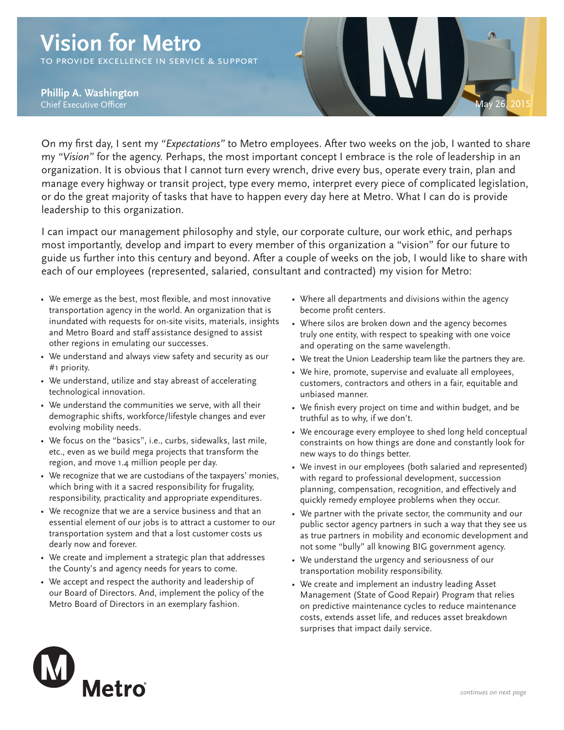## **Vision for Metro**

to provide excellence in service & support

**Vision for Metro Phillip A. Washington**



On my first day, I sent my *"Expectations"* to Metro employees. After two weeks on the job, I wanted to share my *"Vision"* for the agency. Perhaps, the most important concept I embrace is the role of leadership in an organization. It is obvious that I cannot turn every wrench, drive every bus, operate every train, plan and manage every highway or transit project, type every memo, interpret every piece of complicated legislation, or do the great majority of tasks that have to happen every day here at Metro. What I can do is provide leadership to this organization.

I can impact our management philosophy and style, our corporate culture, our work ethic, and perhaps most importantly, develop and impart to every member of this organization a "vision" for our future to guide us further into this century and beyond. After a couple of weeks on the job, I would like to share with each of our employees (represented, salaried, consultant and contracted) my vision for Metro:

- We emerge as the best, most flexible, and most innovative transportation agency in the world. An organization that is inundated with requests for on-site visits, materials, insights and Metro Board and staff assistance designed to assist other regions in emulating our successes.
- We understand and always view safety and security as our #1 priority.
- We understand, utilize and stay abreast of accelerating technological innovation.
- We understand the communities we serve, with all their demographic shifts, workforce/lifestyle changes and ever evolving mobility needs.
- We focus on the "basics", i.e., curbs, sidewalks, last mile, etc., even as we build mega projects that transform the region, and move 1.4 million people per day.
- We recognize that we are custodians of the taxpayers' monies, which bring with it a sacred responsibility for frugality, responsibility, practicality and appropriate expenditures.
- We recognize that we are a service business and that an essential element of our jobs is to attract a customer to our transportation system and that a lost customer costs us dearly now and forever.
- We create and implement a strategic plan that addresses the County's and agency needs for years to come.
- We accept and respect the authority and leadership of our Board of Directors. And, implement the policy of the Metro Board of Directors in an exemplary fashion.
- Where all departments and divisions within the agency become profit centers.
- Where silos are broken down and the agency becomes truly one entity, with respect to speaking with one voice and operating on the same wavelength.
- We treat the Union Leadership team like the partners they are.
- We hire, promote, supervise and evaluate all employees, customers, contractors and others in a fair, equitable and unbiased manner.
- We finish every project on time and within budget, and be truthful as to why, if we don't.
- We encourage every employee to shed long held conceptual constraints on how things are done and constantly look for new ways to do things better.
- We invest in our employees (both salaried and represented) with regard to professional development, succession planning, compensation, recognition, and effectively and quickly remedy employee problems when they occur.
- We partner with the private sector, the community and our public sector agency partners in such a way that they see us as true partners in mobility and economic development and not some "bully" all knowing BIG government agency.
- We understand the urgency and seriousness of our transportation mobility responsibility.
- We create and implement an industry leading Asset Management (State of Good Repair) Program that relies on predictive maintenance cycles to reduce maintenance costs, extends asset life, and reduces asset breakdown surprises that impact daily service.